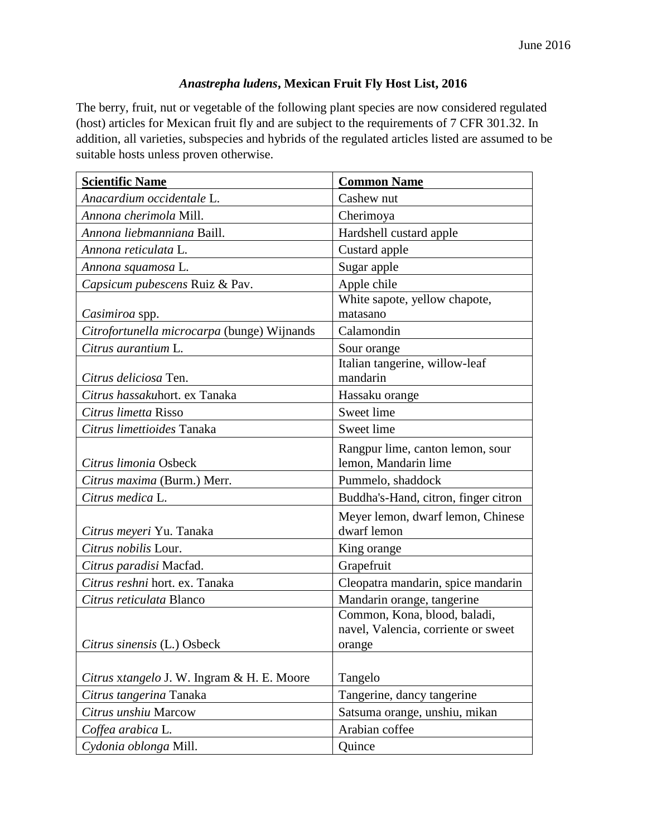## *Anastrepha ludens***, Mexican Fruit Fly Host List, 2016**

The berry, fruit, nut or vegetable of the following plant species are now considered regulated (host) articles for Mexican fruit fly and are subject to the requirements of 7 CFR 301.32. In addition, all varieties, subspecies and hybrids of the regulated articles listed are assumed to be suitable hosts unless proven otherwise.

| <b>Scientific Name</b>                      | <b>Common Name</b>                   |
|---------------------------------------------|--------------------------------------|
| Anacardium occidentale L.                   | Cashew nut                           |
| Annona cherimola Mill.                      | Cherimoya                            |
| Annona liebmanniana Baill.                  | Hardshell custard apple              |
| Annona reticulata L.                        | Custard apple                        |
| Annona squamosa L.                          | Sugar apple                          |
| Capsicum pubescens Ruiz & Pav.              | Apple chile                          |
|                                             | White sapote, yellow chapote,        |
| Casimiroa spp.                              | matasano                             |
| Citrofortunella microcarpa (bunge) Wijnands | Calamondin                           |
| Citrus aurantium L.                         | Sour orange                          |
|                                             | Italian tangerine, willow-leaf       |
| Citrus deliciosa Ten.                       | mandarin                             |
| Citrus hassakuhort. ex Tanaka               | Hassaku orange                       |
| Citrus limetta Risso                        | Sweet lime                           |
| Citrus limettioides Tanaka                  | Sweet lime                           |
|                                             | Rangpur lime, canton lemon, sour     |
| Citrus limonia Osbeck                       | lemon, Mandarin lime                 |
| Citrus maxima (Burm.) Merr.                 | Pummelo, shaddock                    |
| Citrus medica L.                            | Buddha's-Hand, citron, finger citron |
|                                             | Meyer lemon, dwarf lemon, Chinese    |
| Citrus meyeri Yu. Tanaka                    | dwarf lemon                          |
| Citrus nobilis Lour.                        | King orange                          |
| Citrus paradisi Macfad.                     | Grapefruit                           |
| Citrus reshni hort. ex. Tanaka              | Cleopatra mandarin, spice mandarin   |
| Citrus reticulata Blanco                    | Mandarin orange, tangerine           |
|                                             | Common, Kona, blood, baladi,         |
|                                             | navel, Valencia, corriente or sweet  |
| Citrus sinensis (L.) Osbeck                 | orange                               |
|                                             |                                      |
| Citrus xtangelo J. W. Ingram & H. E. Moore  | Tangelo                              |
| Citrus tangerina Tanaka                     | Tangerine, dancy tangerine           |
| Citrus unshiu Marcow                        | Satsuma orange, unshiu, mikan        |
| Coffea arabica L.                           | Arabian coffee                       |
| Cydonia oblonga Mill.                       | Quince                               |